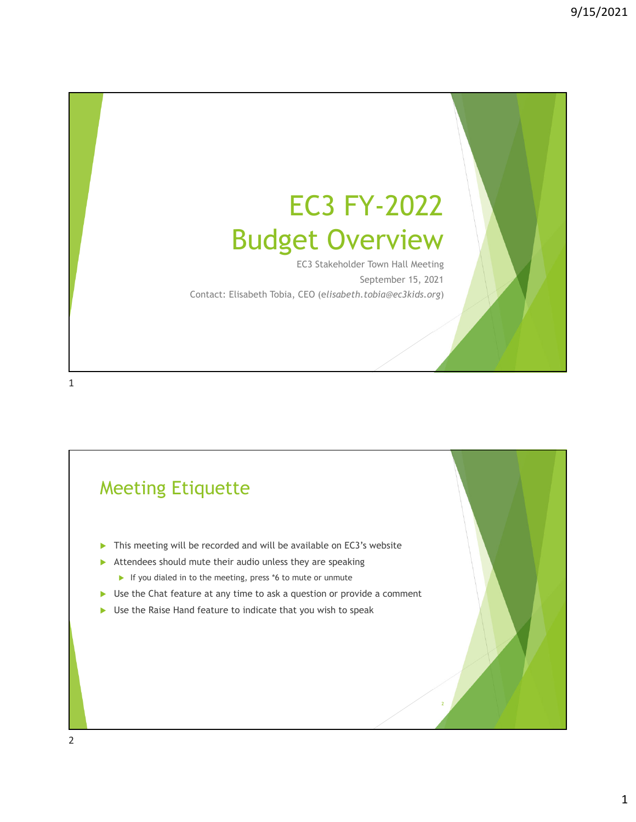# EC3 FY-2022 Budget Overview

EC3 Stakeholder Town Hall Meeting September 15, 2021 Contact: Elisabeth Tobia, CEO (e*lisabeth.tobia@ec3kids.org*)

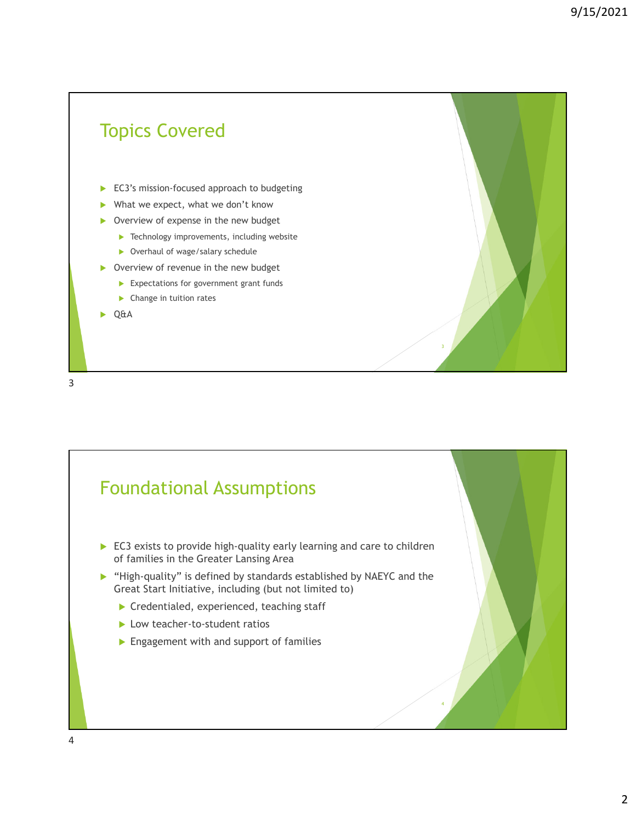## Topics Covered EC3's mission-focused approach to budgeting What we expect, what we don't know ▶ Overview of expense in the new budget **Technology improvements, including website** ▶ Overhaul of wage/salary schedule ▶ Overview of revenue in the new budget Expectations for government grant funds ▶ Change in tuition rates ▶ Q&A

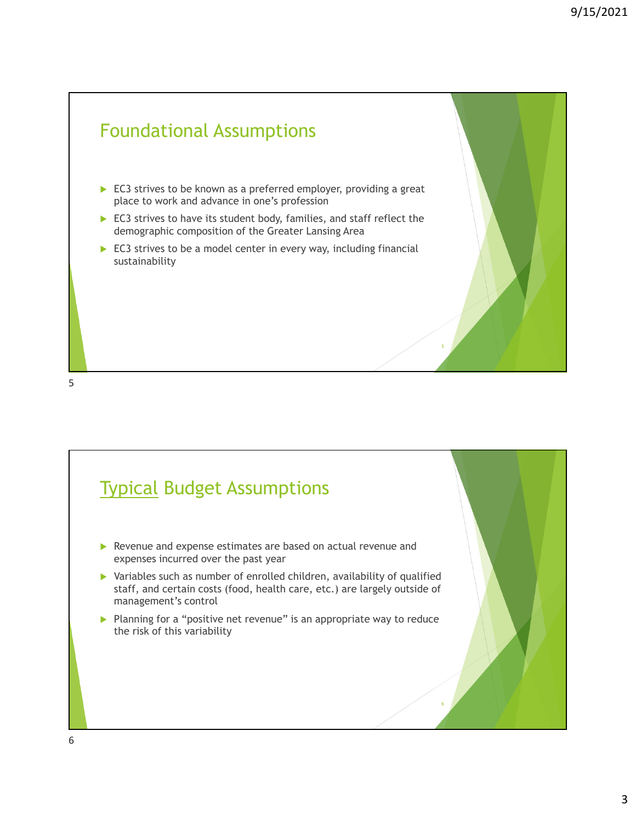



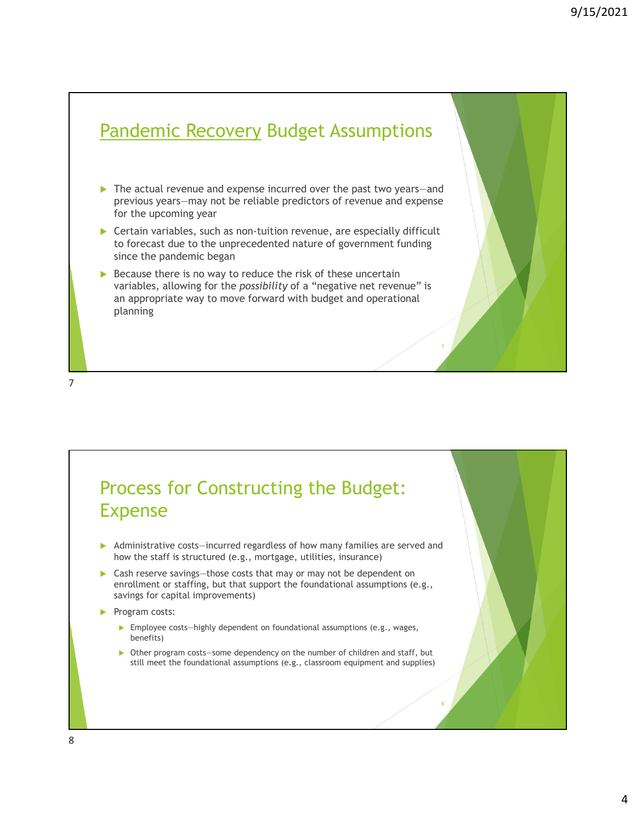### Pandemic Recovery Budget Assumptions

- ▶ The actual revenue and expense incurred over the past two years-and previous years—may not be reliable predictors of revenue and expense for the upcoming year
- ▶ Certain variables, such as non-tuition revenue, are especially difficult to forecast due to the unprecedented nature of government funding since the pandemic began
- $\triangleright$  Because there is no way to reduce the risk of these uncertain variables, allowing for the *possibility* of a "negative net revenue" is an appropriate way to move forward with budget and operational planning

7

#### Process for Constructing the Budget: Expense

- Administrative costs—incurred regardless of how many families are served and how the staff is structured (e.g., mortgage, utilities, insurance)
- Cash reserve savings—those costs that may or may not be dependent on enrollment or staffing, but that support the foundational assumptions (e.g., savings for capital improvements)
- Program costs:
	- Employee costs—highly dependent on foundational assumptions (e.g., wages, benefits)
	- Other program costs—some dependency on the number of children and staff, but still meet the foundational assumptions (e.g., classroom equipment and supplies)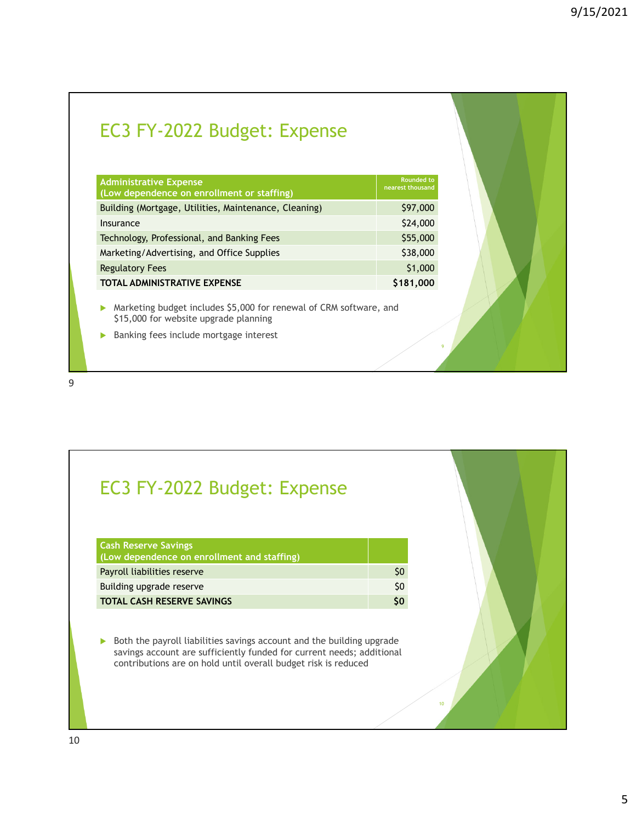## EC3 FY-2022 Budget: Expense

| <b>Administrative Expense</b><br>(Low dependence on enrollment or staffing) | Rounded to<br>nearest thousand |
|-----------------------------------------------------------------------------|--------------------------------|
| Building (Mortgage, Utilities, Maintenance, Cleaning)                       | \$97,000                       |
| Insurance                                                                   | \$24,000                       |
| Technology, Professional, and Banking Fees                                  | \$55,000                       |
| Marketing/Advertising, and Office Supplies                                  | \$38,000                       |
| <b>Regulatory Fees</b>                                                      | \$1,000                        |
| <b>TOTAL ADMINISTRATIVE EXPENSE</b>                                         | \$181,000                      |

 Marketing budget includes \$5,000 for renewal of CRM software, and \$15,000 for website upgrade planning

9

10

**Banking fees include mortgage interest** 

9

### EC3 FY-2022 Budget: Expense

| <b>Cash Reserve Savings</b><br>(Low dependence on enrollment and staffing) |     |
|----------------------------------------------------------------------------|-----|
| Payroll liabilities reserve                                                | S0  |
| Building upgrade reserve                                                   | \$0 |
| <b>TOTAL CASH RESERVE SAVINGS</b>                                          | S٥  |

 $\triangleright$  Both the payroll liabilities savings account and the building upgrade savings account are sufficiently funded for current needs; additional contributions are on hold until overall budget risk is reduced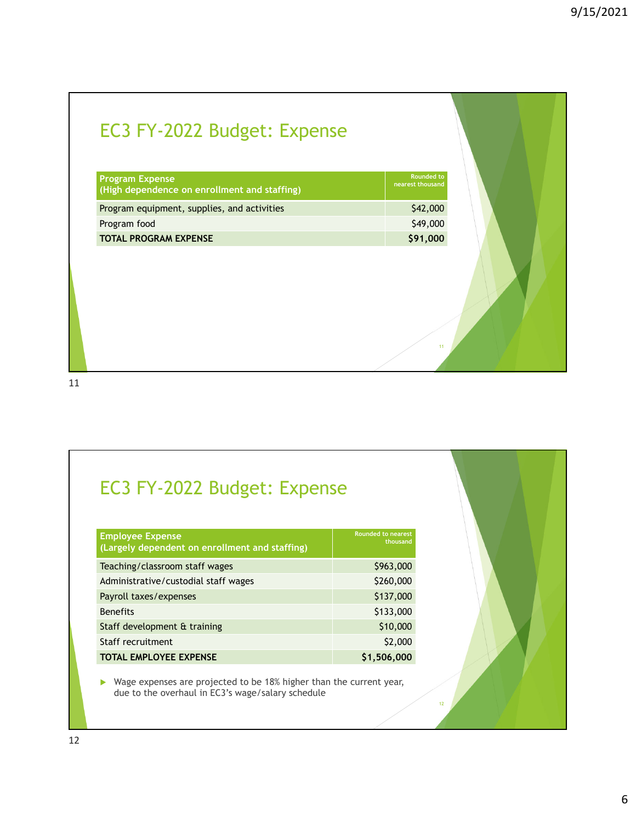| EC3 FY-2022 Budget: Expense |  |  |
|-----------------------------|--|--|
|-----------------------------|--|--|

| <b>Program Expense</b><br>(High dependence on enrollment and staffing) | <b>Rounded to</b><br>nearest thousand |
|------------------------------------------------------------------------|---------------------------------------|
| Program equipment, supplies, and activities                            | \$42,000                              |
| Program food                                                           | \$49,000                              |
| <b>TOTAL PROGRAM EXPENSE</b>                                           | \$91,000                              |

11

12

11

## EC3 FY-2022 Budget: Expense

| <b>Employee Expense</b><br>(Largely dependent on enrollment and staffing) | <b>Rounded to nearest</b><br>thousand |
|---------------------------------------------------------------------------|---------------------------------------|
| Teaching/classroom staff wages                                            | \$963,000                             |
| Administrative/custodial staff wages                                      | \$260,000                             |
| Payroll taxes/expenses                                                    | \$137,000                             |
| <b>Benefits</b>                                                           | \$133,000                             |
| Staff development & training                                              | \$10,000                              |
| Staff recruitment                                                         | \$2,000                               |
| <b>TOTAL EMPLOYEE EXPENSE</b>                                             | \$1,506,000                           |

▶ Wage expenses are projected to be 18% higher than the current year, due to the overhaul in EC3's wage/salary schedule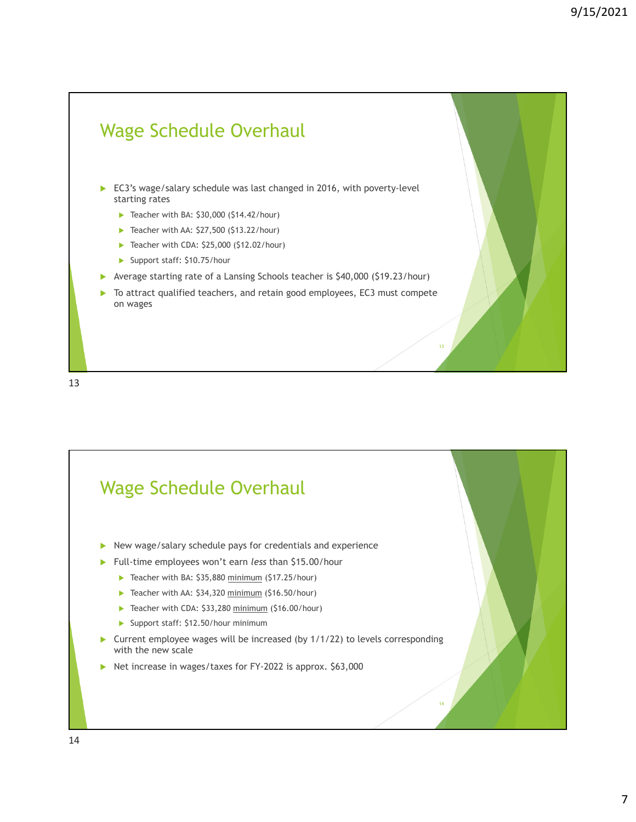

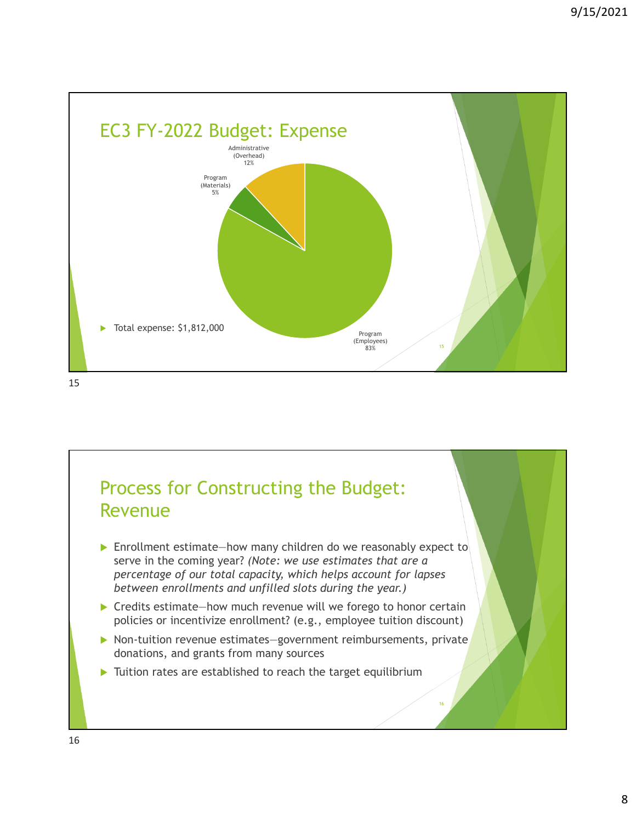

## Process for Constructing the Budget: Revenue

- ▶ Enrollment estimate—how many children do we reasonably expect to serve in the coming year? *(Note: we use estimates that are a percentage of our total capacity, which helps account for lapses between enrollments and unfilled slots during the year.)*
- ▶ Credits estimate—how much revenue will we forego to honor certain policies or incentivize enrollment? (e.g., employee tuition discount)
- ▶ Non-tuition revenue estimates-government reimbursements, private donations, and grants from many sources

16

Tuition rates are established to reach the target equilibrium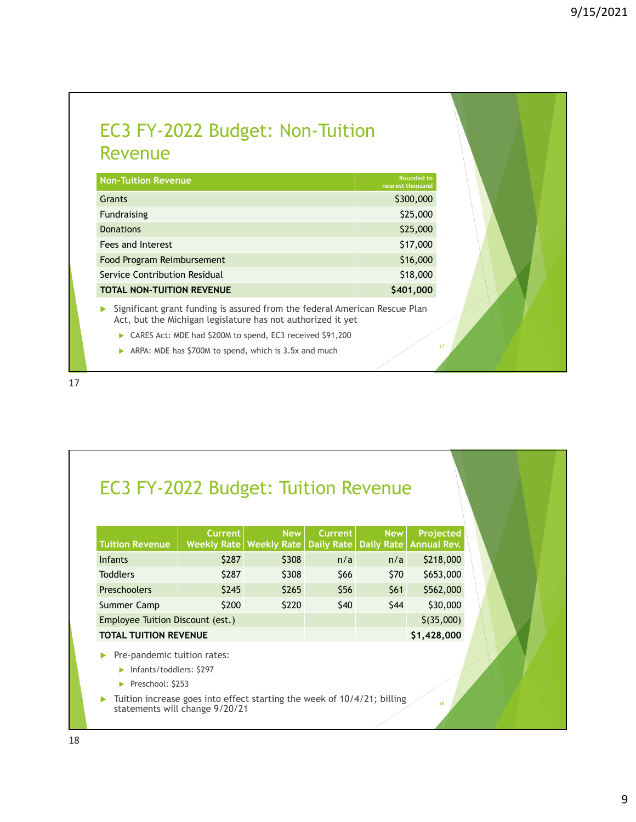#### EC3 FY-2022 Budget: Non-Tuition Revenue

| <b>Non-Tuition Revenue</b>       | <b>Rounded to</b><br>nearest thousand |
|----------------------------------|---------------------------------------|
| Grants                           | \$300,000                             |
| Fundraising                      | \$25,000                              |
| <b>Donations</b>                 | \$25,000                              |
| Fees and Interest                | \$17,000                              |
| Food Program Reimbursement       | \$16,000                              |
| Service Contribution Residual    | \$18,000                              |
| <b>TOTAL NON-TUITION REVENUE</b> | \$401,000                             |

Significant grant funding is assured from the federal American Rescue Plan Act, but the Michigan legislature has not authorized it yet

- ▶ CARES Act: MDE had \$200M to spend, EC3 received \$91,200
- ARPA: MDE has \$700M to spend, which is 3.5x and much

### EC3 FY-2022 Budget: Tuition Revenue

| <b>Tuition Revenue</b>           | <b>Current</b> | New  <br>Weekly Rate   Weekly Rate   Daily Rate   Daily Rate   Annual Rev. | <b>Current</b> | <b>New</b> | Projected   |
|----------------------------------|----------------|----------------------------------------------------------------------------|----------------|------------|-------------|
| <b>Infants</b>                   | \$287          | \$308                                                                      | n/a            | n/a        | \$218,000   |
| <b>Toddlers</b>                  | \$287          | \$308                                                                      | \$66           | \$70       | \$653,000   |
| <b>Preschoolers</b>              | \$245          | \$265                                                                      | \$56           | \$61       | \$562,000   |
| Summer Camp                      | \$200          | \$220                                                                      | \$40           | \$44       | \$30,000    |
| Employee Tuition Discount (est.) |                |                                                                            |                |            | \$(35,000)  |
| TOTAL TUITION REVENUE            |                |                                                                            |                |            | \$1,428,000 |

Pre-pandemic tuition rates:

Infants/toddlers: \$297

Preschool: \$253

Tuition increase goes into effect starting the week of 10/4/21; billing statements will change  $9/20/21$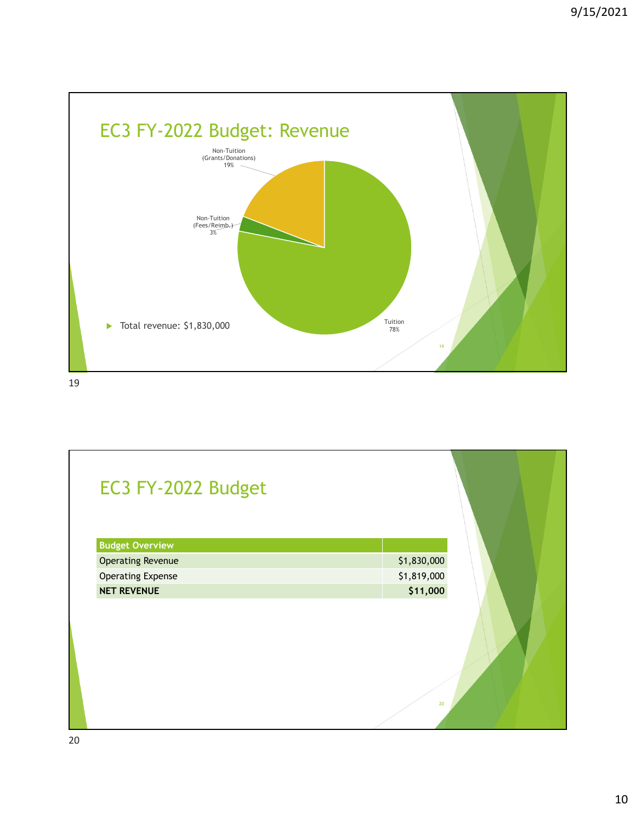

| EC3 FY-2022 Budget       |             |
|--------------------------|-------------|
| <b>Budget Overview</b>   |             |
| <b>Operating Revenue</b> | \$1,830,000 |
| <b>Operating Expense</b> | \$1,819,000 |
| <b>NET REVENUE</b>       | \$11,000    |
|                          | 20          |